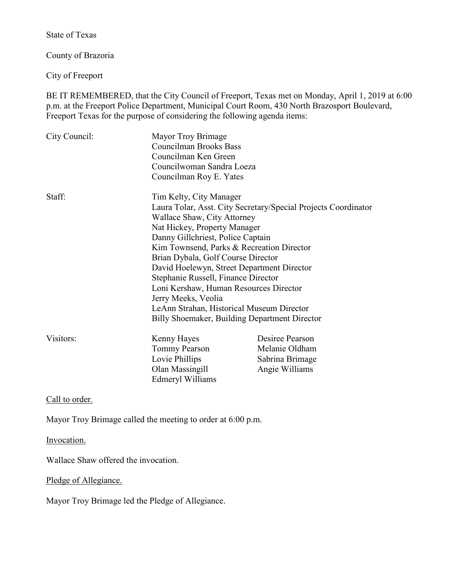State of Texas

County of Brazoria

City of Freeport

BE IT REMEMBERED, that the City Council of Freeport, Texas met on Monday, April 1, 2019 at 6:00 p.m. at the Freeport Police Department, Municipal Court Room, 430 North Brazosport Boulevard, Freeport Texas for the purpose of considering the following agenda items:

| City Council: | Mayor Troy Brimage<br>Councilman Brooks Bass<br>Councilman Ken Green<br>Councilwoman Sandra Loeza<br>Councilman Roy E. Yates                                                                                                                                                                                                                                                                                                                                       |                                                                        |
|---------------|--------------------------------------------------------------------------------------------------------------------------------------------------------------------------------------------------------------------------------------------------------------------------------------------------------------------------------------------------------------------------------------------------------------------------------------------------------------------|------------------------------------------------------------------------|
| Staff:        | Tim Kelty, City Manager<br>Wallace Shaw, City Attorney<br>Nat Hickey, Property Manager<br>Danny Gillchriest, Police Captain<br>Kim Townsend, Parks & Recreation Director<br>Brian Dybala, Golf Course Director<br>David Hoelewyn, Street Department Director<br>Stephanie Russell, Finance Director<br>Loni Kershaw, Human Resources Director<br>Jerry Meeks, Veolia<br>LeAnn Strahan, Historical Museum Director<br>Billy Shoemaker, Building Department Director | Laura Tolar, Asst. City Secretary/Special Projects Coordinator         |
| Visitors:     | Kenny Hayes<br>Tommy Pearson<br>Lovie Phillips<br>Olan Massingill<br><b>Edmeryl Williams</b>                                                                                                                                                                                                                                                                                                                                                                       | Desiree Pearson<br>Melanie Oldham<br>Sabrina Brimage<br>Angie Williams |

Call to order.

Mayor Troy Brimage called the meeting to order at 6:00 p.m.

Invocation.

Wallace Shaw offered the invocation.

Pledge of Allegiance.

Mayor Troy Brimage led the Pledge of Allegiance.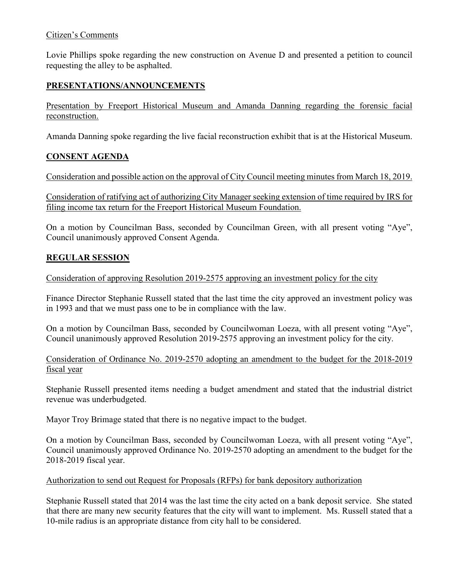### Citizen's Comments

Lovie Phillips spoke regarding the new construction on Avenue D and presented a petition to council requesting the alley to be asphalted.

## **PRESENTATIONS/ANNOUNCEMENTS**

Presentation by Freeport Historical Museum and Amanda Danning regarding the forensic facial reconstruction.

Amanda Danning spoke regarding the live facial reconstruction exhibit that is at the Historical Museum.

### **CONSENT AGENDA**

Consideration and possible action on the approval of City Council meeting minutes from March 18, 2019.

Consideration of ratifying act of authorizing City Manager seeking extension of time required by IRS for filing income tax return for the Freeport Historical Museum Foundation.

On a motion by Councilman Bass, seconded by Councilman Green, with all present voting "Aye", Council unanimously approved Consent Agenda.

## **REGULAR SESSION**

Consideration of approving Resolution 2019-2575 approving an investment policy for the city

Finance Director Stephanie Russell stated that the last time the city approved an investment policy was in 1993 and that we must pass one to be in compliance with the law.

On a motion by Councilman Bass, seconded by Councilwoman Loeza, with all present voting "Aye", Council unanimously approved Resolution 2019-2575 approving an investment policy for the city.

Consideration of Ordinance No. 2019-2570 adopting an amendment to the budget for the 2018-2019 fiscal year

Stephanie Russell presented items needing a budget amendment and stated that the industrial district revenue was underbudgeted.

Mayor Troy Brimage stated that there is no negative impact to the budget.

On a motion by Councilman Bass, seconded by Councilwoman Loeza, with all present voting "Aye", Council unanimously approved Ordinance No. 2019-2570 adopting an amendment to the budget for the 2018-2019 fiscal year.

### Authorization to send out Request for Proposals (RFPs) for bank depository authorization

Stephanie Russell stated that 2014 was the last time the city acted on a bank deposit service. She stated that there are many new security features that the city will want to implement. Ms. Russell stated that a 10-mile radius is an appropriate distance from city hall to be considered.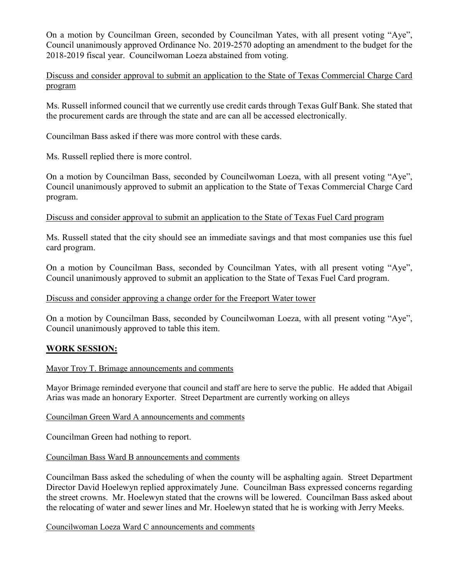On a motion by Councilman Green, seconded by Councilman Yates, with all present voting "Aye", Council unanimously approved Ordinance No. 2019-2570 adopting an amendment to the budget for the 2018-2019 fiscal year. Councilwoman Loeza abstained from voting.

Discuss and consider approval to submit an application to the State of Texas Commercial Charge Card program

Ms. Russell informed council that we currently use credit cards through Texas Gulf Bank. She stated that the procurement cards are through the state and are can all be accessed electronically.

Councilman Bass asked if there was more control with these cards.

Ms. Russell replied there is more control.

On a motion by Councilman Bass, seconded by Councilwoman Loeza, with all present voting "Aye", Council unanimously approved to submit an application to the State of Texas Commercial Charge Card program.

Discuss and consider approval to submit an application to the State of Texas Fuel Card program

Ms. Russell stated that the city should see an immediate savings and that most companies use this fuel card program.

On a motion by Councilman Bass, seconded by Councilman Yates, with all present voting "Aye", Council unanimously approved to submit an application to the State of Texas Fuel Card program.

#### Discuss and consider approving a change order for the Freeport Water tower

On a motion by Councilman Bass, seconded by Councilwoman Loeza, with all present voting "Aye", Council unanimously approved to table this item.

#### **WORK SESSION:**

#### Mayor Troy T. Brimage announcements and comments

Mayor Brimage reminded everyone that council and staff are here to serve the public. He added that Abigail Arias was made an honorary Exporter. Street Department are currently working on alleys

#### Councilman Green Ward A announcements and comments

Councilman Green had nothing to report.

Councilman Bass Ward B announcements and comments

Councilman Bass asked the scheduling of when the county will be asphalting again. Street Department Director David Hoelewyn replied approximately June. Councilman Bass expressed concerns regarding the street crowns. Mr. Hoelewyn stated that the crowns will be lowered. Councilman Bass asked about the relocating of water and sewer lines and Mr. Hoelewyn stated that he is working with Jerry Meeks.

Councilwoman Loeza Ward C announcements and comments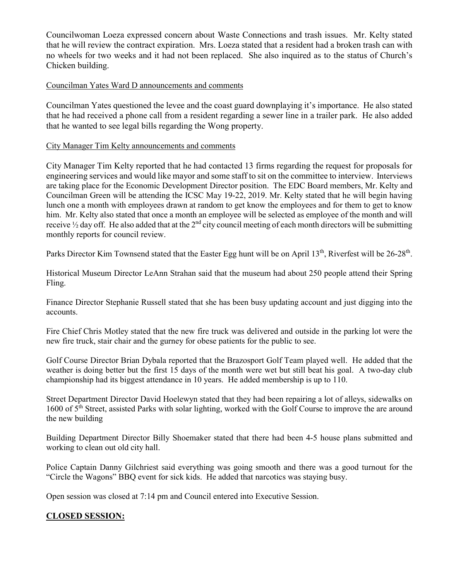Councilwoman Loeza expressed concern about Waste Connections and trash issues. Mr. Kelty stated that he will review the contract expiration. Mrs. Loeza stated that a resident had a broken trash can with no wheels for two weeks and it had not been replaced. She also inquired as to the status of Church's Chicken building.

### Councilman Yates Ward D announcements and comments

Councilman Yates questioned the levee and the coast guard downplaying it's importance. He also stated that he had received a phone call from a resident regarding a sewer line in a trailer park. He also added that he wanted to see legal bills regarding the Wong property.

#### City Manager Tim Kelty announcements and comments

City Manager Tim Kelty reported that he had contacted 13 firms regarding the request for proposals for engineering services and would like mayor and some staff to sit on the committee to interview. Interviews are taking place for the Economic Development Director position. The EDC Board members, Mr. Kelty and Councilman Green will be attending the ICSC May 19-22, 2019. Mr. Kelty stated that he will begin having lunch one a month with employees drawn at random to get know the employees and for them to get to know him. Mr. Kelty also stated that once a month an employee will be selected as employee of the month and will receive  $\frac{1}{2}$  day off. He also added that at the  $2<sup>nd</sup>$  city council meeting of each month directors will be submitting monthly reports for council review.

Parks Director Kim Townsend stated that the Easter Egg hunt will be on April  $13<sup>th</sup>$ , Riverfest will be  $26-28<sup>th</sup>$ .

Historical Museum Director LeAnn Strahan said that the museum had about 250 people attend their Spring Fling.

Finance Director Stephanie Russell stated that she has been busy updating account and just digging into the accounts.

Fire Chief Chris Motley stated that the new fire truck was delivered and outside in the parking lot were the new fire truck, stair chair and the gurney for obese patients for the public to see.

Golf Course Director Brian Dybala reported that the Brazosport Golf Team played well. He added that the weather is doing better but the first 15 days of the month were wet but still beat his goal. A two-day club championship had its biggest attendance in 10 years. He added membership is up to 110.

Street Department Director David Hoelewyn stated that they had been repairing a lot of alleys, sidewalks on 1600 of 5<sup>th</sup> Street, assisted Parks with solar lighting, worked with the Golf Course to improve the are around the new building

Building Department Director Billy Shoemaker stated that there had been 4-5 house plans submitted and working to clean out old city hall.

Police Captain Danny Gilchriest said everything was going smooth and there was a good turnout for the "Circle the Wagons" BBQ event for sick kids. He added that narcotics was staying busy.

Open session was closed at 7:14 pm and Council entered into Executive Session.

## **CLOSED SESSION:**